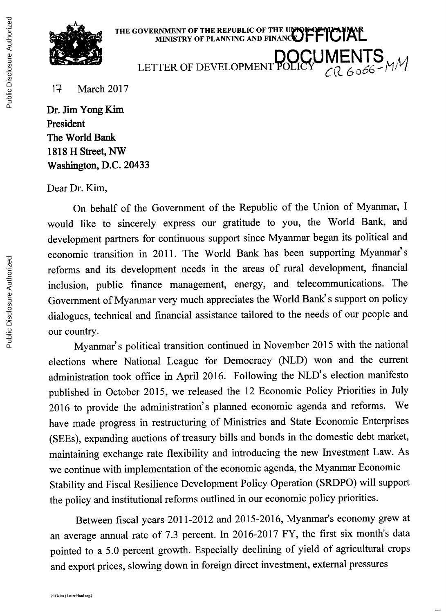

**THE GOVERNMENT OF THE REPUBLIC OF THE U MINISTRY OF PLANNING AND FINAN 1ETTER OF DEVELOPMENT POLICY**  $_{CR\ 6066}^{C}$  MM

*17* March **2017**

Dr. Jim Yong Kim President The World Bank **1818** H Street, NW Washington, **D.C.** 20433

Dear Dr. Kim,

On behalf of the Government of the Republic of the Union of Myanmar, **<sup>I</sup>** would like to sincerely express our gratitude to you, the World Bank, and development partners for continuous support since Myanmar began its political and economic transition in 2011. The World Bank has been supporting Myanmar's reforms and its development needs in the areas of rural development, financial inclusion, public finance management, energy, and telecommunications. The Government of Myanmar very much appreciates the World Bank' s support on policy dialogues, technical and financial assistance tailored to the needs of our people and our country.

Myanmar's political transition continued in November **2015** with the national elections where National League for Democracy **(NLD)** won and the current administration took office in April **2016.** Following the NLD' s election manifesto published in October **2015,** we released the 12 Economic Policy Priorities in July **2016** to provide the administration's planned economic agenda and reforms. We have made progress in restructuring of Ministries and State Economic Enterprises (SEEs), expanding auctions of treasury bills and bonds in the domestic debt market, maintaining exchange rate flexibility and introducing the new Investment Law. As we continue with implementation of the economic agenda, the Myanmar Economic Stability and Fiscal Resilience Development Policy Operation (SRDPO) will support the policy and institutional reforms outlined in our economic policy priorities.

Between fiscal years 2011-2012 and **2015-2016,** Myanmar's economy grew at an average annual rate of **7.3** percent. In **2016-2017** FY, the first six month's data pointed to a **5.0** percent growth. Especially declining of yield of agricultural crops and export prices, slowing down in foreign direct investment, external pressures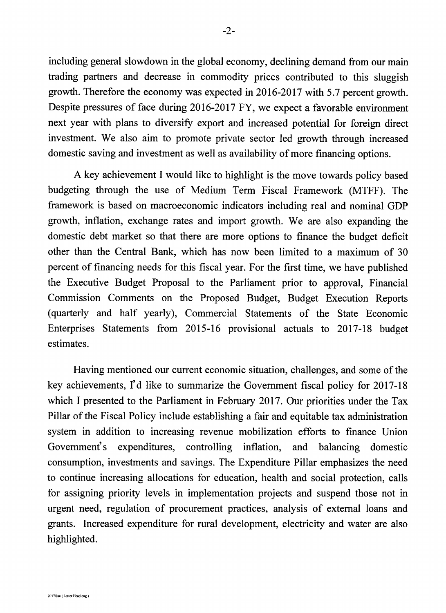including general slowdown in the global economy, declining demand from our main trading partners and decrease in commodity prices contributed to this sluggish growth. Therefore the economy was expected in **2016-2017** with **5.7** percent growth. Despite pressures of face during **2016-2017** FY, we expect a favorable environment next year with plans to diversify export and increased potential for foreign direct investment. We also aim to promote private sector led growth through increased domestic saving and investment as well as availability of more financing options.

**A** key achievement **I** would like to highlight is the move towards policy based budgeting through the use of Medium Term Fiscal Framework (MTFF). The framework is based on macroeconomic indicators including real and nominal **GDP** growth, inflation, exchange rates and import growth. We are also expanding the domestic debt market so that there are more options to finance the budget deficit other than the Central Bank, which has now been limited to a maximum of **30** percent of financing needs for this fiscal year. For the first time, we have published the Executive Budget Proposal to the Parliament prior to approval, Financial Commission Comments on the Proposed Budget, Budget Execution Reports (quarterly and half yearly), Commercial Statements of the State Economic Enterprises Statements from **2015-16** provisional actuals to **2017-18** budget estimates.

Having mentioned our current economic situation, challenges, and some of the key achievements, **I'd** like to summarize the Government fiscal policy for **2017-18** which **I** presented to the Parliament in February **2017.** Our priorities under the Tax Pillar of the Fiscal Policy include establishing a fair and equitable tax administration system in addition to increasing revenue mobilization efforts to finance Union Government's expenditures, controlling inflation, and balancing domestic consumption, investments and savings. The Expenditure Pillar emphasizes the need to continue increasing allocations for education, health and social protection, calls for assigning priority levels in implementation projects and suspend those not in urgent need, regulation of procurement practices, analysis of external loans and grants. Increased expenditure for rural development, electricity and water are also highlighted.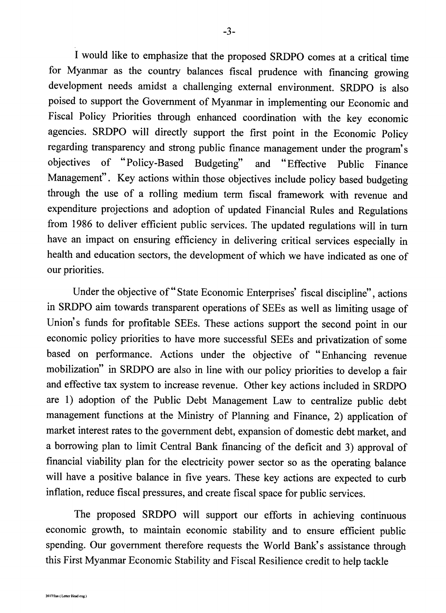**<sup>I</sup>**would like to emphasize that the proposed **SRDPO** comes at a critical time for Myanmar as the country balances fiscal prudence with financing growing development needs amidst a challenging external environment. SRDPO is also poised to support the Government of Myanmar in implementing our Economic and Fiscal Policy Priorities through enhanced coordination with the key economic agencies. SRDPO will directly support the first point in the Economic Policy regarding transparency and strong public finance management under the program's objectives of "Policy-Based Budgeting" and "Effective Public Finance Management'. Key actions within those objectives include policy based budgeting through the use of a rolling medium term fiscal framework with revenue and expenditure projections and adoption of updated Financial Rules and Regulations from **1986** to deliver efficient public services. The updated regulations will in turn have an impact on ensuring efficiency in delivering critical services especially in health and education sectors, the development of which we have indicated as one of our priorities.

Under the objective of **"** State Economic Enterprises' fiscal discipline", actions in SRDPO aim towards transparent operations of SEEs as well as limiting usage of Union's funds for profitable SEEs. These actions support the second point in our economic policy priorities to have more successful SEEs and privatization of some based on performance. Actions under the objective of "Enhancing revenue mobilization" in SRDPO are also in line with our policy priorities to develop a fair and effective tax system to increase revenue. Other key actions included in SRDPO are **1)** adoption of the Public Debt Management Law to centralize public debt management functions at the Ministry of Planning and Finance, 2) application of market interest rates to the government debt, expansion of domestic debt market, and a borrowing plan to limit Central Bank financing of the deficit and **3)** approval of financial viability plan for the electricity power sector so as the operating balance will have a positive balance in five years. These key actions are expected to curb inflation, reduce fiscal pressures, and create fiscal space for public services.

The proposed SRDPO will support our efforts in achieving continuous economic growth, to maintain economic stability and to ensure efficient public spending. Our government therefore requests the World Bank's assistance through this First Myanmar Economic Stability and Fiscal Resilience credit to help tackle